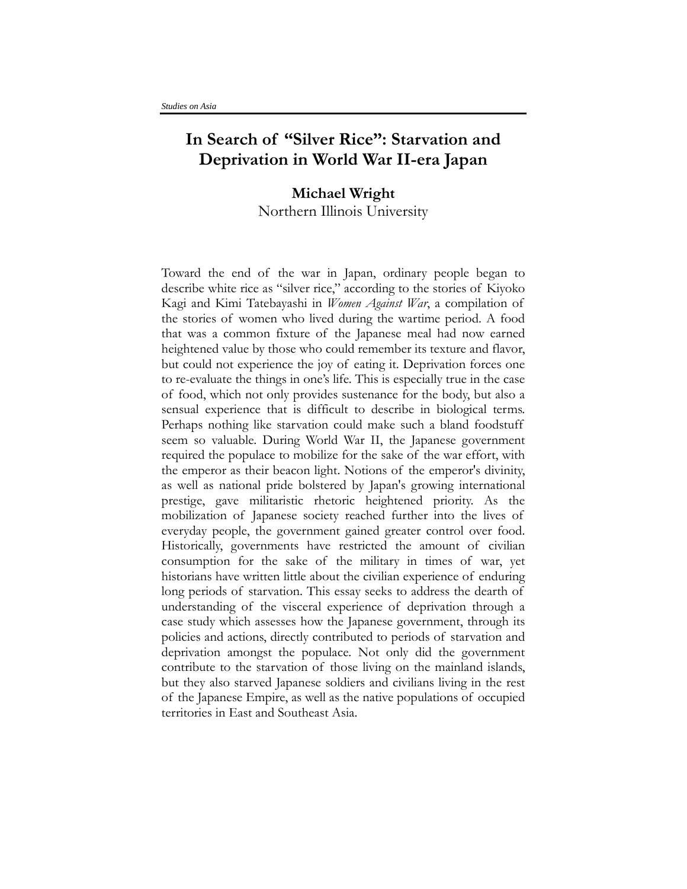## **In Search of "Silver Rice": Starvation and Deprivation in World War II-era Japan**

## **Michael Wright** Northern Illinois University

Toward the end of the war in Japan, ordinary people began to describe white rice as "silver rice," according to the stories of Kiyoko Kagi and Kimi Tatebayashi in *Women Against War*, a compilation of the stories of women who lived during the wartime period. A food that was a common fixture of the Japanese meal had now earned heightened value by those who could remember its texture and flavor, but could not experience the joy of eating it. Deprivation forces one to re-evaluate the things in one's life. This is especially true in the case of food, which not only provides sustenance for the body, but also a sensual experience that is difficult to describe in biological terms. Perhaps nothing like starvation could make such a bland foodstuff seem so valuable. During World War II, the Japanese government required the populace to mobilize for the sake of the war effort, with the emperor as their beacon light. Notions of the emperor's divinity, as well as national pride bolstered by Japan's growing international prestige, gave militaristic rhetoric heightened priority. As the mobilization of Japanese society reached further into the lives of everyday people, the government gained greater control over food. Historically, governments have restricted the amount of civilian consumption for the sake of the military in times of war, yet historians have written little about the civilian experience of enduring long periods of starvation. This essay seeks to address the dearth of understanding of the visceral experience of deprivation through a case study which assesses how the Japanese government, through its policies and actions, directly contributed to periods of starvation and deprivation amongst the populace. Not only did the government contribute to the starvation of those living on the mainland islands, but they also starved Japanese soldiers and civilians living in the rest of the Japanese Empire, as well as the native populations of occupied territories in East and Southeast Asia.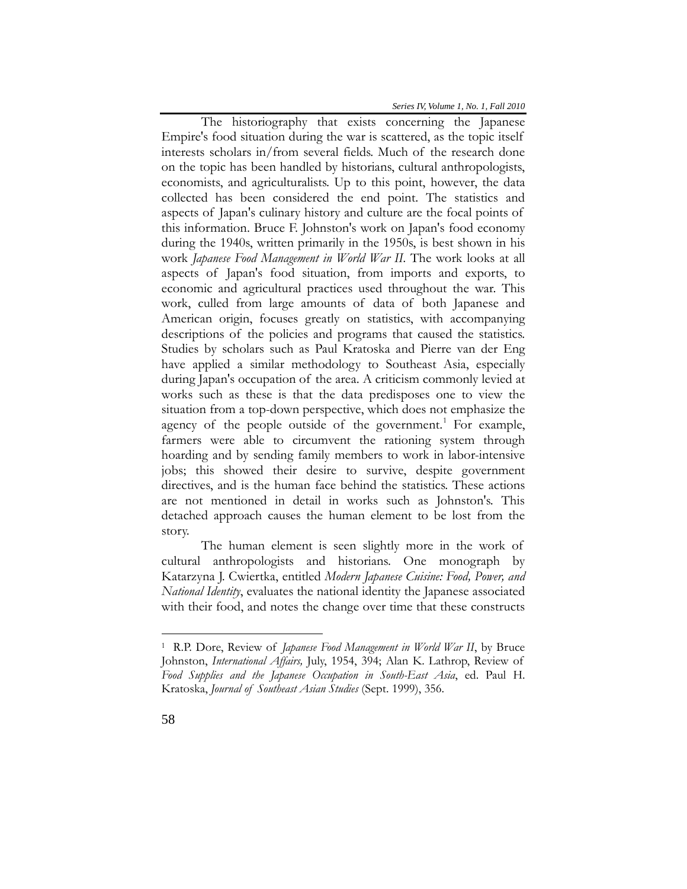The historiography that exists concerning the Japanese Empire's food situation during the war is scattered, as the topic itself interests scholars in/from several fields. Much of the research done on the topic has been handled by historians, cultural anthropologists, economists, and agriculturalists. Up to this point, however, the data collected has been considered the end point. The statistics and aspects of Japan's culinary history and culture are the focal points of this information. Bruce F. Johnston's work on Japan's food economy during the 1940s, written primarily in the 1950s, is best shown in his work *Japanese Food Management in World War II*. The work looks at all aspects of Japan's food situation, from imports and exports, to economic and agricultural practices used throughout the war. This work, culled from large amounts of data of both Japanese and American origin, focuses greatly on statistics, with accompanying descriptions of the policies and programs that caused the statistics. Studies by scholars such as Paul Kratoska and Pierre van der Eng have applied a similar methodology to Southeast Asia, especially during Japan's occupation of the area. A criticism commonly levied at works such as these is that the data predisposes one to view the situation from a top-down perspective, which does not emphasize the agency of the people outside of the government.<sup>[1](#page-1-0)</sup> For example, farmers were able to circumvent the rationing system through hoarding and by sending family members to work in labor-intensive jobs; this showed their desire to survive, despite government directives, and is the human face behind the statistics. These actions are not mentioned in detail in works such as Johnston's. This detached approach causes the human element to be lost from the story.

The human element is seen slightly more in the work of cultural anthropologists and historians. One monograph by Katarzyna J. Cwiertka, entitled *Modern Japanese Cuisine: Food, Power, and National Identity*, evaluates the national identity the Japanese associated with their food, and notes the change over time that these constructs

<span id="page-1-0"></span><sup>1</sup> R.P. Dore, Review of *Japanese Food Management in World War II*, by Bruce Johnston, *International Affairs,* July, 1954, 394; Alan K. Lathrop, Review of *Food Supplies and the Japanese Occupation in South-East Asia*, ed. Paul H. Kratoska, *Journal of Southeast Asian Studies* (Sept. 1999), 356.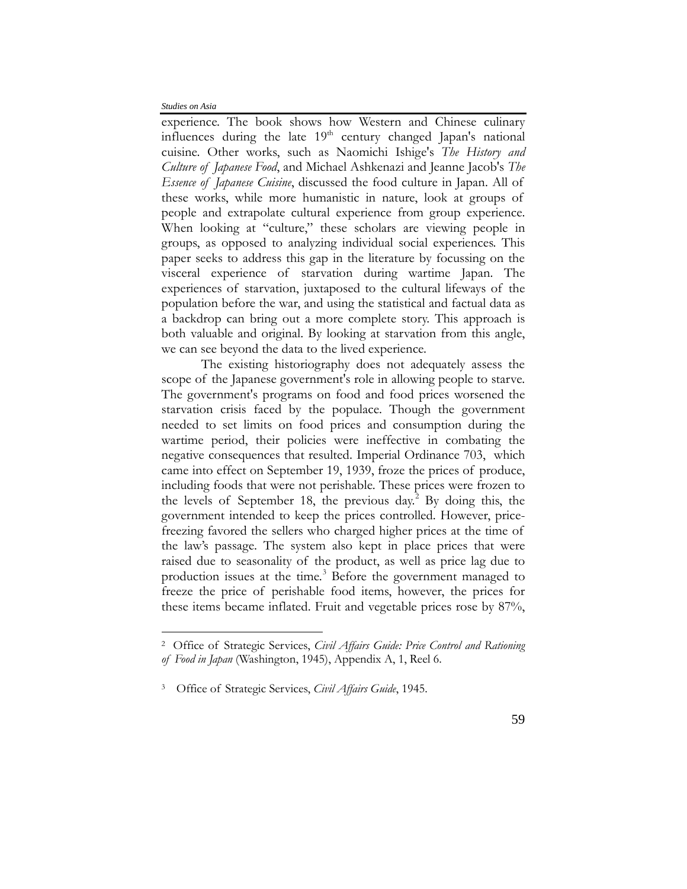$\overline{a}$ 

experience. The book shows how Western and Chinese culinary influences during the late  $19<sup>th</sup>$  century changed Japan's national cuisine. Other works, such as Naomichi Ishige's *The History and Culture of Japanese Food*, and Michael Ashkenazi and Jeanne Jacob's *The Essence of Japanese Cuisine*, discussed the food culture in Japan. All of these works, while more humanistic in nature, look at groups of people and extrapolate cultural experience from group experience. When looking at "culture," these scholars are viewing people in groups, as opposed to analyzing individual social experiences. This paper seeks to address this gap in the literature by focussing on the visceral experience of starvation during wartime Japan. The experiences of starvation, juxtaposed to the cultural lifeways of the population before the war, and using the statistical and factual data as a backdrop can bring out a more complete story. This approach is both valuable and original. By looking at starvation from this angle, we can see beyond the data to the lived experience.

The existing historiography does not adequately assess the scope of the Japanese government's role in allowing people to starve. The government's programs on food and food prices worsened the starvation crisis faced by the populace. Though the government needed to set limits on food prices and consumption during the wartime period, their policies were ineffective in combating the negative consequences that resulted. Imperial Ordinance 703, which came into effect on September 19, 1939, froze the prices of produce, including foods that were not perishable. These prices were frozen to the levels of September 18, the previous day.<sup>[2](#page-2-0)</sup> By doing this, the government intended to keep the prices controlled. However, pricefreezing favored the sellers who charged higher prices at the time of the law's passage. The system also kept in place prices that were raised due to seasonality of the product, as well as price lag due to production issues at the time.<sup>[3](#page-2-1)</sup> Before the government managed to freeze the price of perishable food items, however, the prices for these items became inflated. Fruit and vegetable prices rose by 87%,

<span id="page-2-0"></span><sup>2</sup> Office of Strategic Services, *Civil Affairs Guide: Price Control and Rationing of Food in Japan* (Washington, 1945), Appendix A, 1, Reel 6.

<span id="page-2-1"></span><sup>3</sup>Office of Strategic Services, *Civil Affairs Guide*, 1945.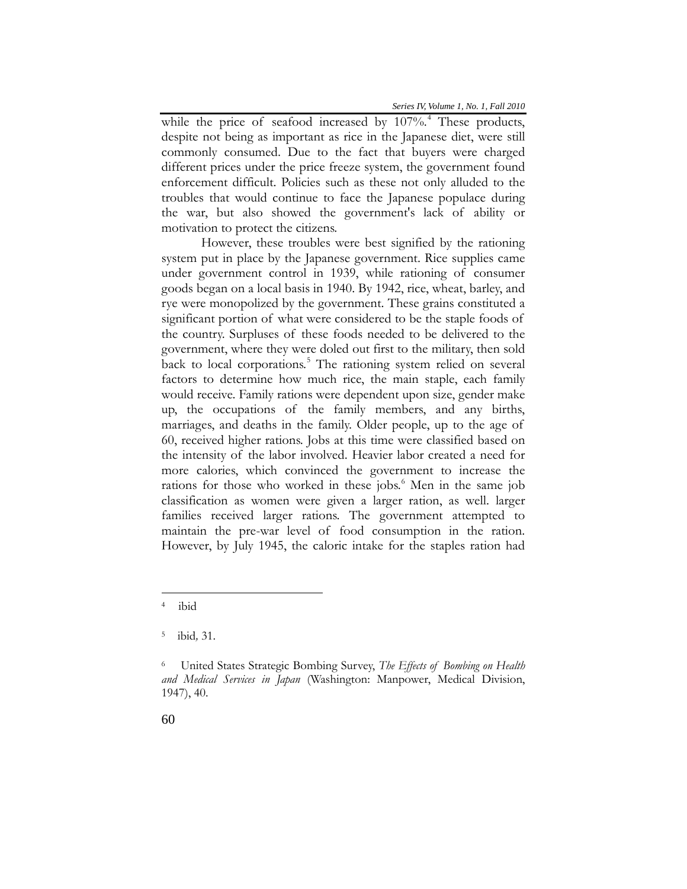while the price of seafood increased by  $107\%$ .<sup>[4](#page-3-0)</sup> These products, despite not being as important as rice in the Japanese diet, were still commonly consumed. Due to the fact that buyers were charged different prices under the price freeze system, the government found enforcement difficult. Policies such as these not only alluded to the troubles that would continue to face the Japanese populace during the war, but also showed the government's lack of ability or motivation to protect the citizens.

However, these troubles were best signified by the rationing system put in place by the Japanese government. Rice supplies came under government control in 1939, while rationing of consumer goods began on a local basis in 1940. By 1942, rice, wheat, barley, and rye were monopolized by the government. These grains constituted a significant portion of what were considered to be the staple foods of the country. Surpluses of these foods needed to be delivered to the government, where they were doled out first to the military, then sold back to local corporations. [5](#page-3-1) The rationing system relied on several factors to determine how much rice, the main staple, each family would receive. Family rations were dependent upon size, gender make up, the occupations of the family members, and any births, marriages, and deaths in the family. Older people, up to the age of 60, received higher rations. Jobs at this time were classified based on the intensity of the labor involved. Heavier labor created a need for more calories, which convinced the government to increase the rations for those who worked in these jobs.<sup>[6](#page-3-2)</sup> Men in the same job classification as women were given a larger ration, as well. larger families received larger rations. The government attempted to maintain the pre-war level of food consumption in the ration. However, by July 1945, the caloric intake for the staples ration had

<span id="page-3-0"></span><sup>4</sup>ibid

<span id="page-3-1"></span><sup>5</sup>ibid*,* 31.

<span id="page-3-2"></span><sup>6</sup> United States Strategic Bombing Survey, *The Effects of Bombing on Health and Medical Services in Japan* (Washington: Manpower, Medical Division, 1947), 40.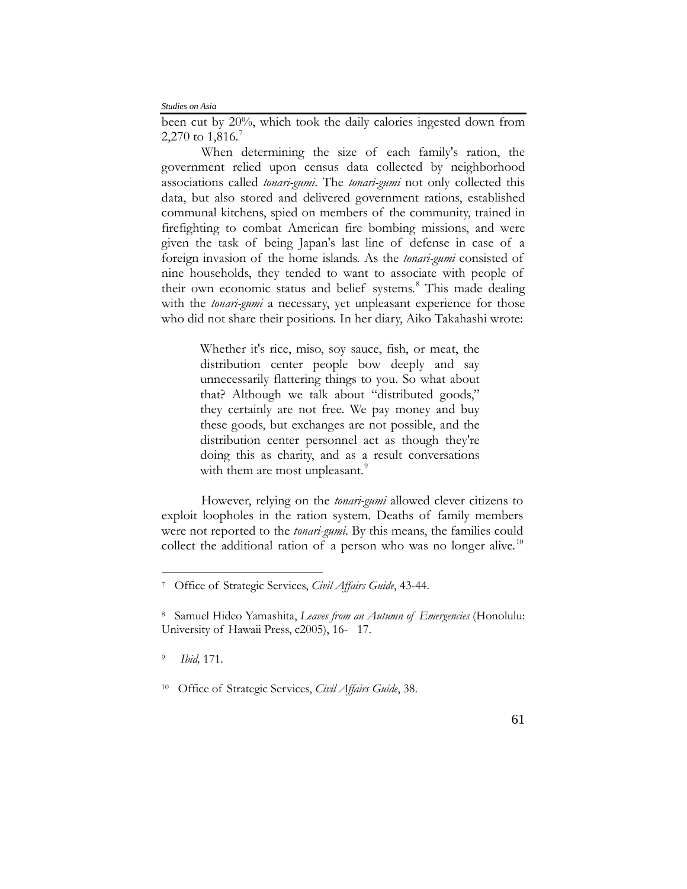been cut by 20%, which took the daily calories ingested down from 2,2[7](#page-4-0)0 to  $1,816$ .<sup>7</sup>

When determining the size of each family's ration, the government relied upon census data collected by neighborhood associations called *tonari-gumi*. The *tonari-gumi* not only collected this data, but also stored and delivered government rations, established communal kitchens, spied on members of the community, trained in firefighting to combat American fire bombing missions, and were given the task of being Japan's last line of defense in case of a foreign invasion of the home islands. As the *tonari-gumi* consisted of nine households, they tended to want to associate with people of their own economic status and belief systems.<sup>[8](#page-4-1)</sup> This made dealing with the *tonari-gumi* a necessary, yet unpleasant experience for those who did not share their positions. In her diary, Aiko Takahashi wrote:

> Whether it's rice, miso, soy sauce, fish, or meat, the distribution center people bow deeply and say unnecessarily flattering things to you. So what about that? Although we talk about "distributed goods," they certainly are not free. We pay money and buy these goods, but exchanges are not possible, and the distribution center personnel act as though they're doing this as charity, and as a result conversations with them are most unpleasant.<sup>[9](#page-4-2)</sup>

However, relying on the *tonari-gumi* allowed clever citizens to exploit loopholes in the ration system. Deaths of family members were not reported to the *tonari-gumi*. By this means, the families could collect the additional ration of a person who was no longer alive.<sup>[10](#page-4-3)</sup>

<span id="page-4-2"></span><sup>9</sup> *Ibid,* 171.

<span id="page-4-0"></span><sup>7</sup>Office of Strategic Services, *Civil Affairs Guide*, 43-44.

<span id="page-4-1"></span><sup>8</sup> Samuel Hideo Yamashita, *Leaves from an Autumn of Emergencies* (Honolulu: University of Hawaii Press, c2005), 16- 17.

<span id="page-4-3"></span><sup>10</sup>Office of Strategic Services, *Civil Affairs Guide*, 38.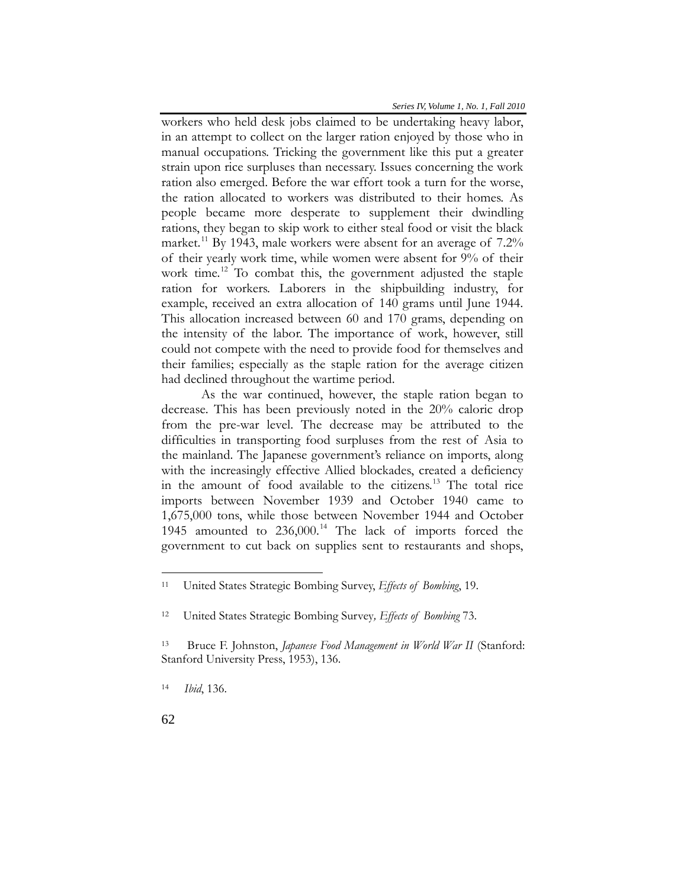workers who held desk jobs claimed to be undertaking heavy labor, in an attempt to collect on the larger ration enjoyed by those who in manual occupations. Tricking the government like this put a greater strain upon rice surpluses than necessary. Issues concerning the work ration also emerged. Before the war effort took a turn for the worse, the ration allocated to workers was distributed to their homes. As people became more desperate to supplement their dwindling rations, they began to skip work to either steal food or visit the black market.<sup>[11](#page-5-0)</sup> By 1943, male workers were absent for an average of  $7.2\%$ of their yearly work time, while women were absent for 9% of their work time.<sup>[12](#page-5-1)</sup> To combat this, the government adjusted the staple ration for workers. Laborers in the shipbuilding industry, for example, received an extra allocation of 140 grams until June 1944. This allocation increased between 60 and 170 grams, depending on the intensity of the labor. The importance of work, however, still could not compete with the need to provide food for themselves and their families; especially as the staple ration for the average citizen had declined throughout the wartime period.

As the war continued, however, the staple ration began to decrease. This has been previously noted in the 20% caloric drop from the pre-war level. The decrease may be attributed to the difficulties in transporting food surpluses from the rest of Asia to the mainland. The Japanese government's reliance on imports, along with the increasingly effective Allied blockades, created a deficiency in the amount of food available to the citizens. [13](#page-5-2) The total rice imports between November 1939 and October 1940 came to 1,675,000 tons, while those between November 1944 and October 1945 amounted to  $236,000$ .<sup>[14](#page-5-3)</sup> The lack of imports forced the government to cut back on supplies sent to restaurants and shops,

<span id="page-5-0"></span><sup>11</sup> United States Strategic Bombing Survey, *Effects of Bombing*, 19.

<span id="page-5-1"></span><sup>12</sup>United States Strategic Bombing Survey*, Effects of Bombing* 73.

<span id="page-5-2"></span><sup>13</sup> Bruce F. Johnston, *Japanese Food Management in World War II* (Stanford: Stanford University Press, 1953), 136.

<span id="page-5-3"></span><sup>14</sup> *Ibid*, 136.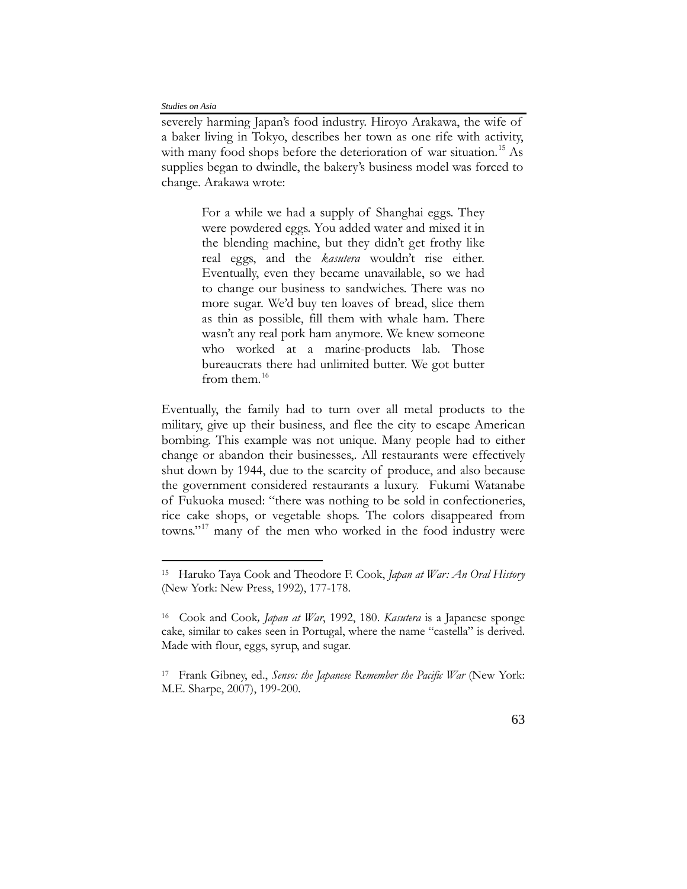$\overline{a}$ 

severely harming Japan's food industry. Hiroyo Arakawa, the wife of a baker living in Tokyo, describes her town as one rife with activity, with many food shops before the deterioration of war situation.<sup>[15](#page-6-0)</sup> As supplies began to dwindle, the bakery's business model was forced to change. Arakawa wrote:

> For a while we had a supply of Shanghai eggs. They were powdered eggs. You added water and mixed it in the blending machine, but they didn't get frothy like real eggs, and the *kasutera* wouldn't rise either. Eventually, even they became unavailable, so we had to change our business to sandwiches. There was no more sugar. We'd buy ten loaves of bread, slice them as thin as possible, fill them with whale ham. There wasn't any real pork ham anymore. We knew someone who worked at a marine-products lab. Those bureaucrats there had unlimited butter. We got butter from them. $16$

Eventually, the family had to turn over all metal products to the military, give up their business, and flee the city to escape American bombing. This example was not unique. Many people had to either change or abandon their businesses,. All restaurants were effectively shut down by 1944, due to the scarcity of produce, and also because the government considered restaurants a luxury. Fukumi Watanabe of Fukuoka mused: "there was nothing to be sold in confectioneries, rice cake shops, or vegetable shops. The colors disappeared from towns."<sup>[17](#page-6-2)</sup> many of the men who worked in the food industry were

<span id="page-6-0"></span><sup>15</sup> Haruko Taya Cook and Theodore F. Cook, *Japan at War: An Oral History* (New York: New Press, 1992), 177-178.

<span id="page-6-1"></span><sup>16</sup> Cook and Cook*, Japan at War*, 1992, 180. *Kasutera* is a Japanese sponge cake, similar to cakes seen in Portugal, where the name "castella" is derived. Made with flour, eggs, syrup, and sugar.

<span id="page-6-2"></span><sup>17</sup> Frank Gibney, ed., *Senso: the Japanese Remember the Pacific War* (New York: M.E. Sharpe, 2007), 199-200.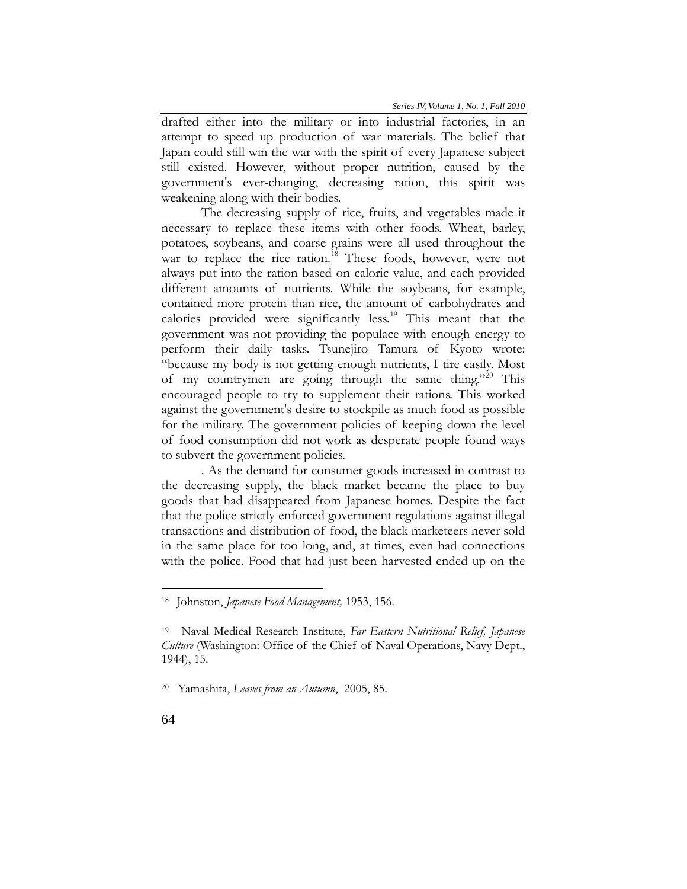drafted either into the military or into industrial factories, in an attempt to speed up production of war materials. The belief that Japan could still win the war with the spirit of every Japanese subject still existed. However, without proper nutrition, caused by the government's ever-changing, decreasing ration, this spirit was weakening along with their bodies.

The decreasing supply of rice, fruits, and vegetables made it necessary to replace these items with other foods. Wheat, barley, potatoes, soybeans, and coarse grains were all used throughout the war to replace the rice ration.<sup>[18](#page-7-0)</sup> These foods, however, were not always put into the ration based on caloric value, and each provided different amounts of nutrients. While the soybeans, for example, contained more protein than rice, the amount of carbohydrates and calories provided were significantly less.<sup>[19](#page-7-1)</sup> This meant that the government was not providing the populace with enough energy to perform their daily tasks. Tsunejiro Tamura of Kyoto wrote: "because my body is not getting enough nutrients, I tire easily. Most of my countrymen are going through the same thing."<sup>[20](#page-7-2)</sup> This encouraged people to try to supplement their rations. This worked against the government's desire to stockpile as much food as possible for the military. The government policies of keeping down the level of food consumption did not work as desperate people found ways to subvert the government policies.

. As the demand for consumer goods increased in contrast to the decreasing supply, the black market became the place to buy goods that had disappeared from Japanese homes. Despite the fact that the police strictly enforced government regulations against illegal transactions and distribution of food, the black marketeers never sold in the same place for too long, and, at times, even had connections with the police. Food that had just been harvested ended up on the

<span id="page-7-0"></span><sup>18</sup> Johnston, *Japanese Food Management,* 1953, 156.

<span id="page-7-1"></span><sup>19</sup> Naval Medical Research Institute, *Far Eastern Nutritional Relief, Japanese Culture* (Washington: Office of the Chief of Naval Operations, Navy Dept., 1944), 15.

<span id="page-7-2"></span><sup>20</sup> Yamashita, *Leaves from an Autumn*, 2005, 85.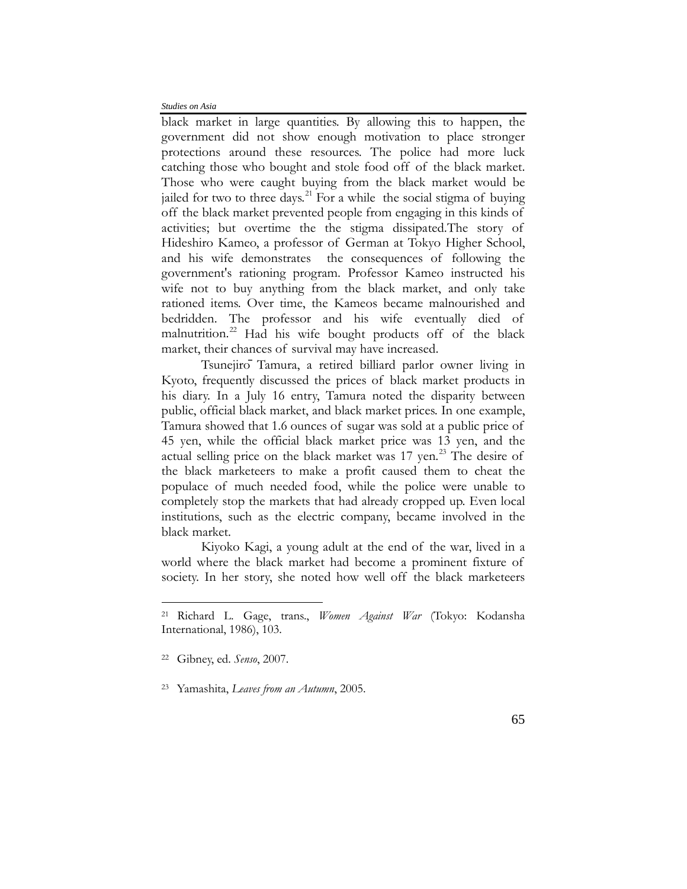black market in large quantities. By allowing this to happen, the government did not show enough motivation to place stronger protections around these resources. The police had more luck catching those who bought and stole food off of the black market. Those who were caught buying from the black market would be jailed for two to three days.<sup>[21](#page-8-0)</sup> For a while the social stigma of buying off the black market prevented people from engaging in this kinds of activities; but overtime the the stigma dissipated.The story of Hideshiro Kameo, a professor of German at Tokyo Higher School, and his wife demonstrates the consequences of following the government's rationing program. Professor Kameo instructed his wife not to buy anything from the black market, and only take rationed items. Over time, the Kameos became malnourished and bedridden. The professor and his wife eventually died of malnutrition.<sup>[22](#page-8-1)</sup> Had his wife bought products off of the black market, their chances of survival may have increased.

Tsunejirō Tamura, a retired billiard parlor owner living in Kyoto, frequently discussed the prices of black market products in his diary. In a July 16 entry, Tamura noted the disparity between public, official black market, and black market prices. In one example, Tamura showed that 1.6 ounces of sugar was sold at a public price of 45 yen, while the official black market price was 13 yen, and the actual selling price on the black market was 17 yen.<sup>[23](#page-8-2)</sup> The desire of the black marketeers to make a profit caused them to cheat the populace of much needed food, while the police were unable to completely stop the markets that had already cropped up. Even local institutions, such as the electric company, became involved in the black market.

Kiyoko Kagi, a young adult at the end of the war, lived in a world where the black market had become a prominent fixture of society. In her story, she noted how well off the black marketeers

<span id="page-8-0"></span><sup>21</sup> Richard L. Gage, trans., *Women Against War* (Tokyo: Kodansha International, 1986), 103.

<span id="page-8-1"></span><sup>22</sup> Gibney, ed. *Senso*, 2007.

<span id="page-8-2"></span><sup>23</sup> Yamashita, *Leaves from an Autumn*, 2005.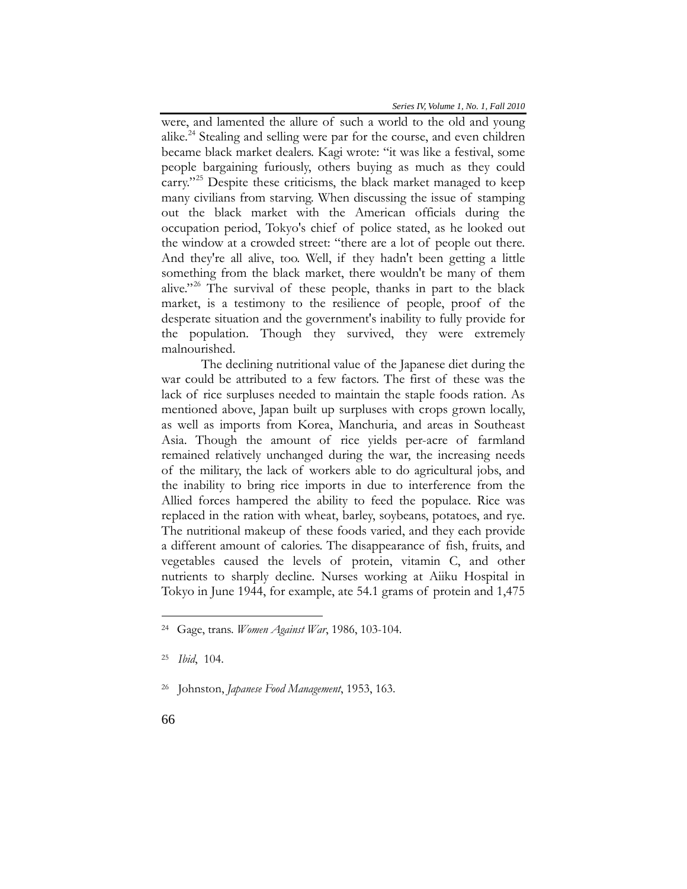were, and lamented the allure of such a world to the old and young alike.<sup>[24](#page-9-0)</sup> Stealing and selling were par for the course, and even children became black market dealers. Kagi wrote: "it was like a festival, some people bargaining furiously, others buying as much as they could carry."<sup>[25](#page-9-1)</sup> Despite these criticisms, the black market managed to keep many civilians from starving. When discussing the issue of stamping out the black market with the American officials during the occupation period, Tokyo's chief of police stated, as he looked out the window at a crowded street: "there are a lot of people out there. And they're all alive, too. Well, if they hadn't been getting a little something from the black market, there wouldn't be many of them alive."<sup>[26](#page-9-2)</sup> The survival of these people, thanks in part to the black market, is a testimony to the resilience of people, proof of the desperate situation and the government's inability to fully provide for the population. Though they survived, they were extremely malnourished.

The declining nutritional value of the Japanese diet during the war could be attributed to a few factors. The first of these was the lack of rice surpluses needed to maintain the staple foods ration. As mentioned above, Japan built up surpluses with crops grown locally, as well as imports from Korea, Manchuria, and areas in Southeast Asia. Though the amount of rice yields per-acre of farmland remained relatively unchanged during the war, the increasing needs of the military, the lack of workers able to do agricultural jobs, and the inability to bring rice imports in due to interference from the Allied forces hampered the ability to feed the populace. Rice was replaced in the ration with wheat, barley, soybeans, potatoes, and rye. The nutritional makeup of these foods varied, and they each provide a different amount of calories. The disappearance of fish, fruits, and vegetables caused the levels of protein, vitamin C, and other nutrients to sharply decline. Nurses working at Aiiku Hospital in Tokyo in June 1944, for example, ate 54.1 grams of protein and 1,475

<span id="page-9-0"></span><sup>24</sup> Gage, trans. *Women Against War*, 1986, 103-104.

<span id="page-9-1"></span><sup>25</sup> *Ibid*, 104.

<span id="page-9-2"></span><sup>26</sup> Johnston, *Japanese Food Management*, 1953, 163.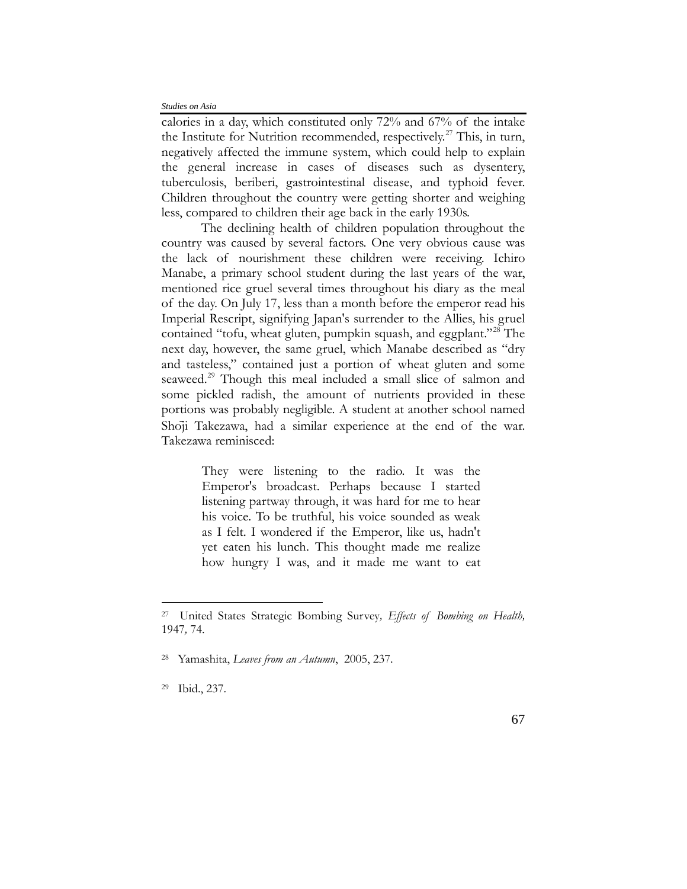calories in a day, which constituted only 72% and 67% of the intake the Institute for Nutrition recommended, respectively.<sup>[27](#page-10-0)</sup> This, in turn, negatively affected the immune system, which could help to explain the general increase in cases of diseases such as dysentery, tuberculosis, beriberi, gastrointestinal disease, and typhoid fever. Children throughout the country were getting shorter and weighing less, compared to children their age back in the early 1930s.

The declining health of children population throughout the country was caused by several factors. One very obvious cause was the lack of nourishment these children were receiving. Ichiro Manabe, a primary school student during the last years of the war, mentioned rice gruel several times throughout his diary as the meal of the day. On July 17, less than a month before the emperor read his Imperial Rescript, signifying Japan's surrender to the Allies, his gruel contained "tofu, wheat gluten, pumpkin squash, and eggplant."<sup>[28](#page-10-1)</sup> The next day, however, the same gruel, which Manabe described as "dry and tasteless," contained just a portion of wheat gluten and some seaweed.<sup>[29](#page-10-2)</sup> Though this meal included a small slice of salmon and some pickled radish, the amount of nutrients provided in these portions was probably negligible. A student at another school named Shoji Takezawa, had a similar experience at the end of the war. Takezawa reminisced:

> They were listening to the radio. It was the Emperor's broadcast. Perhaps because I started listening partway through, it was hard for me to hear his voice. To be truthful, his voice sounded as weak as I felt. I wondered if the Emperor, like us, hadn't yet eaten his lunch. This thought made me realize how hungry I was, and it made me want to eat

<span id="page-10-1"></span>28 Yamashita, *Leaves from an Autumn*, 2005, 237.

<span id="page-10-0"></span><sup>27</sup>United States Strategic Bombing Survey*, Effects of Bombing on Health,*  1947*,* 74.

<span id="page-10-2"></span><sup>29</sup>Ibid., 237.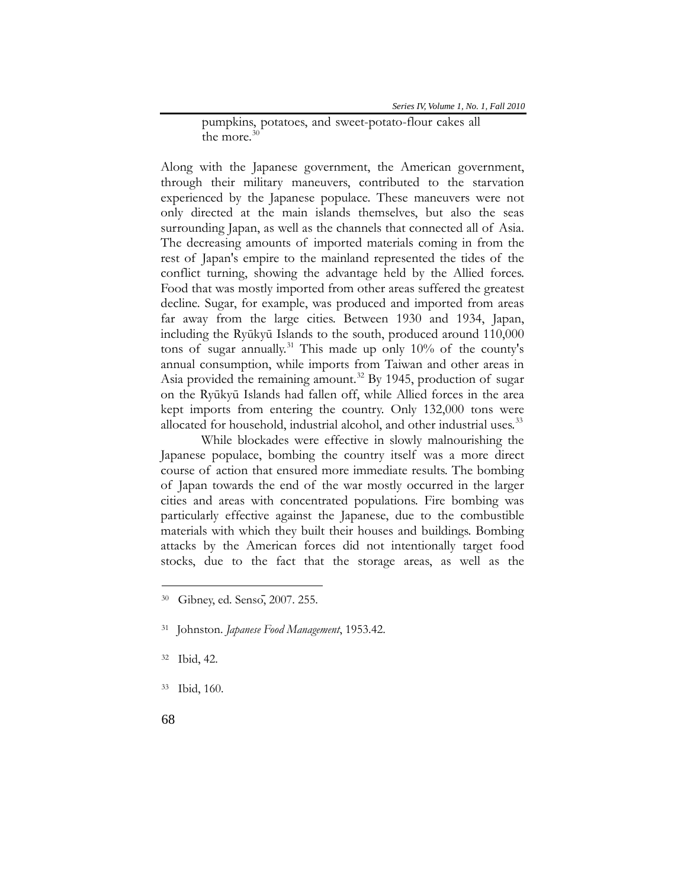pumpkins, potatoes, and sweet-potato-flour cakes all the more. $30$ 

Along with the Japanese government, the American government, through their military maneuvers, contributed to the starvation experienced by the Japanese populace. These maneuvers were not only directed at the main islands themselves, but also the seas surrounding Japan, as well as the channels that connected all of Asia. The decreasing amounts of imported materials coming in from the rest of Japan's empire to the mainland represented the tides of the conflict turning, showing the advantage held by the Allied forces. Food that was mostly imported from other areas suffered the greatest decline. Sugar, for example, was produced and imported from areas far away from the large cities. Between 1930 and 1934, Japan, including the Ryūkyū Islands to the south, produced around 110,000 tons of sugar annually.<sup>[31](#page-11-1)</sup> This made up only  $10\%$  of the county's annual consumption, while imports from Taiwan and other areas in Asia provided the remaining amount.<sup>[32](#page-11-2)</sup> By 1945, production of sugar on the Ryūkyū Islands had fallen off, while Allied forces in the area kept imports from entering the country. Only 132,000 tons were allocated for household, industrial alcohol, and other industrial uses.<sup>[33](#page-11-3)</sup>

While blockades were effective in slowly malnourishing the Japanese populace, bombing the country itself was a more direct course of action that ensured more immediate results. The bombing of Japan towards the end of the war mostly occurred in the larger cities and areas with concentrated populations. Fire bombing was particularly effective against the Japanese, due to the combustible materials with which they built their houses and buildings. Bombing attacks by the American forces did not intentionally target food stocks, due to the fact that the storage areas, as well as the

<span id="page-11-0"></span><sup>30</sup> Gibney, ed. Sensō, 2007. 255.

<span id="page-11-1"></span><sup>31</sup> Johnston. *Japanese Food Management*, 1953.42.

<span id="page-11-2"></span><sup>32</sup>Ibid, 42.

<span id="page-11-3"></span><sup>33</sup>Ibid, 160.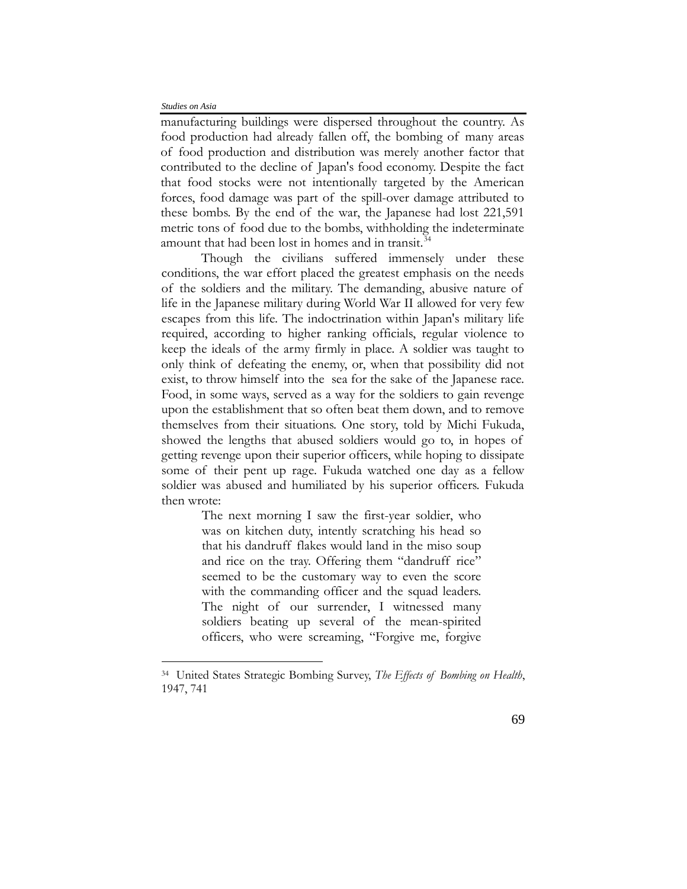$\overline{a}$ 

manufacturing buildings were dispersed throughout the country. As food production had already fallen off, the bombing of many areas of food production and distribution was merely another factor that contributed to the decline of Japan's food economy. Despite the fact that food stocks were not intentionally targeted by the American forces, food damage was part of the spill-over damage attributed to these bombs. By the end of the war, the Japanese had lost 221,591 metric tons of food due to the bombs, withholding the indeterminate amount that had been lost in homes and in transit.<sup>[34](#page-12-0)</sup>

Though the civilians suffered immensely under these conditions, the war effort placed the greatest emphasis on the needs of the soldiers and the military. The demanding, abusive nature of life in the Japanese military during World War II allowed for very few escapes from this life. The indoctrination within Japan's military life required, according to higher ranking officials, regular violence to keep the ideals of the army firmly in place. A soldier was taught to only think of defeating the enemy, or, when that possibility did not exist, to throw himself into the sea for the sake of the Japanese race. Food, in some ways, served as a way for the soldiers to gain revenge upon the establishment that so often beat them down, and to remove themselves from their situations. One story, told by Michi Fukuda, showed the lengths that abused soldiers would go to, in hopes of getting revenge upon their superior officers, while hoping to dissipate some of their pent up rage. Fukuda watched one day as a fellow soldier was abused and humiliated by his superior officers. Fukuda then wrote:

> The next morning I saw the first-year soldier, who was on kitchen duty, intently scratching his head so that his dandruff flakes would land in the miso soup and rice on the tray. Offering them "dandruff rice" seemed to be the customary way to even the score with the commanding officer and the squad leaders. The night of our surrender, I witnessed many soldiers beating up several of the mean-spirited officers, who were screaming, "Forgive me, forgive

<span id="page-12-0"></span><sup>34</sup>United States Strategic Bombing Survey, *The Effects of Bombing on Health*, 1947, 741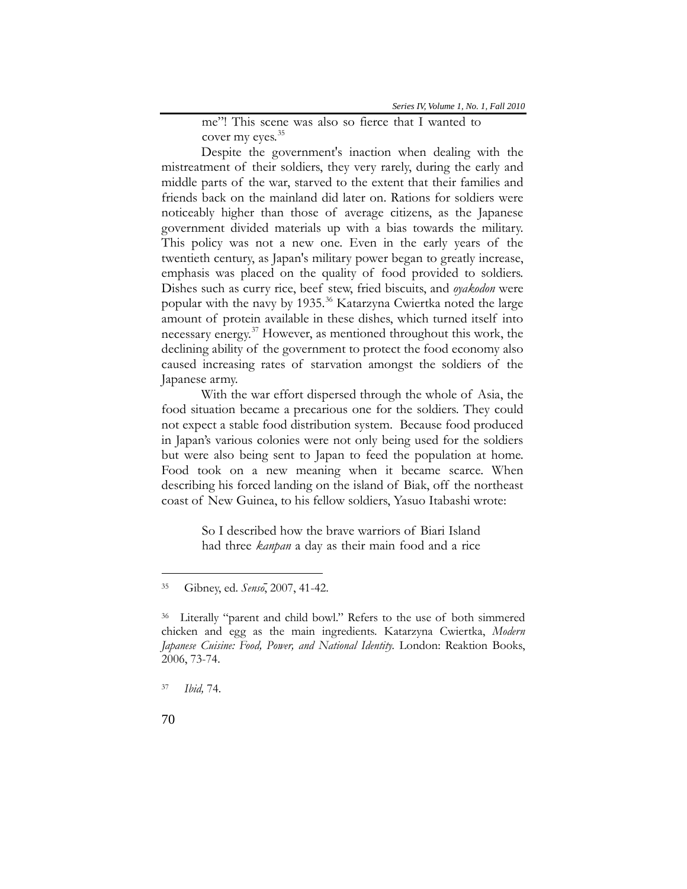me"! This scene was also so fierce that I wanted to cover my eyes.<sup>[35](#page-13-0)</sup>

Despite the government's inaction when dealing with the mistreatment of their soldiers, they very rarely, during the early and middle parts of the war, starved to the extent that their families and friends back on the mainland did later on. Rations for soldiers were noticeably higher than those of average citizens, as the Japanese government divided materials up with a bias towards the military. This policy was not a new one. Even in the early years of the twentieth century, as Japan's military power began to greatly increase, emphasis was placed on the quality of food provided to soldiers. Dishes such as curry rice, beef stew, fried biscuits, and *oyakodon* were popular with the navy by 1935.<sup>[36](#page-13-1)</sup> Katarzyna Cwiertka noted the large amount of protein available in these dishes, which turned itself into necessary energy.<sup>[37](#page-13-2)</sup> However, as mentioned throughout this work, the declining ability of the government to protect the food economy also caused increasing rates of starvation amongst the soldiers of the Japanese army.

With the war effort dispersed through the whole of Asia, the food situation became a precarious one for the soldiers. They could not expect a stable food distribution system. Because food produced in Japan's various colonies were not only being used for the soldiers but were also being sent to Japan to feed the population at home. Food took on a new meaning when it became scarce. When describing his forced landing on the island of Biak, off the northeast coast of New Guinea, to his fellow soldiers, Yasuo Itabashi wrote:

> So I described how the brave warriors of Biari Island had three *kanpan* a day as their main food and a rice

<span id="page-13-0"></span><sup>35</sup> Gibney, ed. *Sensō*, 2007, 41-42.

<span id="page-13-1"></span><sup>36</sup> Literally "parent and child bowl." Refers to the use of both simmered chicken and egg as the main ingredients. Katarzyna Cwiertka, *Modern Japanese Cuisine: Food, Power, and National Identity.* London: Reaktion Books, 2006, 73-74.

<span id="page-13-2"></span><sup>37</sup> *Ibid,* 74.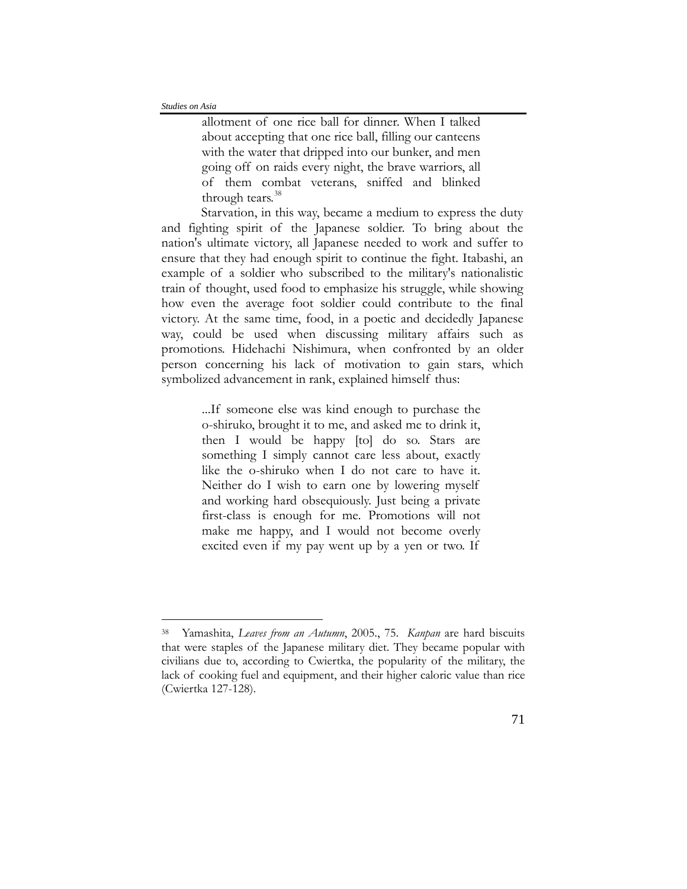$\overline{a}$ 

allotment of one rice ball for dinner. When I talked about accepting that one rice ball, filling our canteens with the water that dripped into our bunker, and men going off on raids every night, the brave warriors, all of them combat veterans, sniffed and blinked through tears.<sup>[38](#page-14-0)</sup>

Starvation, in this way, became a medium to express the duty and fighting spirit of the Japanese soldier. To bring about the nation's ultimate victory, all Japanese needed to work and suffer to ensure that they had enough spirit to continue the fight. Itabashi, an example of a soldier who subscribed to the military's nationalistic train of thought, used food to emphasize his struggle, while showing how even the average foot soldier could contribute to the final victory. At the same time, food, in a poetic and decidedly Japanese way, could be used when discussing military affairs such as promotions. Hidehachi Nishimura, when confronted by an older person concerning his lack of motivation to gain stars, which symbolized advancement in rank, explained himself thus:

> ...If someone else was kind enough to purchase the o-shiruko, brought it to me, and asked me to drink it, then I would be happy [to] do so. Stars are something I simply cannot care less about, exactly like the o-shiruko when I do not care to have it. Neither do I wish to earn one by lowering myself and working hard obsequiously. Just being a private first-class is enough for me. Promotions will not make me happy, and I would not become overly excited even if my pay went up by a yen or two. If

<span id="page-14-0"></span><sup>38</sup> Yamashita, *Leaves from an Autumn*, 2005., 75. *Kanpan* are hard biscuits that were staples of the Japanese military diet. They became popular with civilians due to, according to Cwiertka, the popularity of the military, the lack of cooking fuel and equipment, and their higher caloric value than rice (Cwiertka 127-128).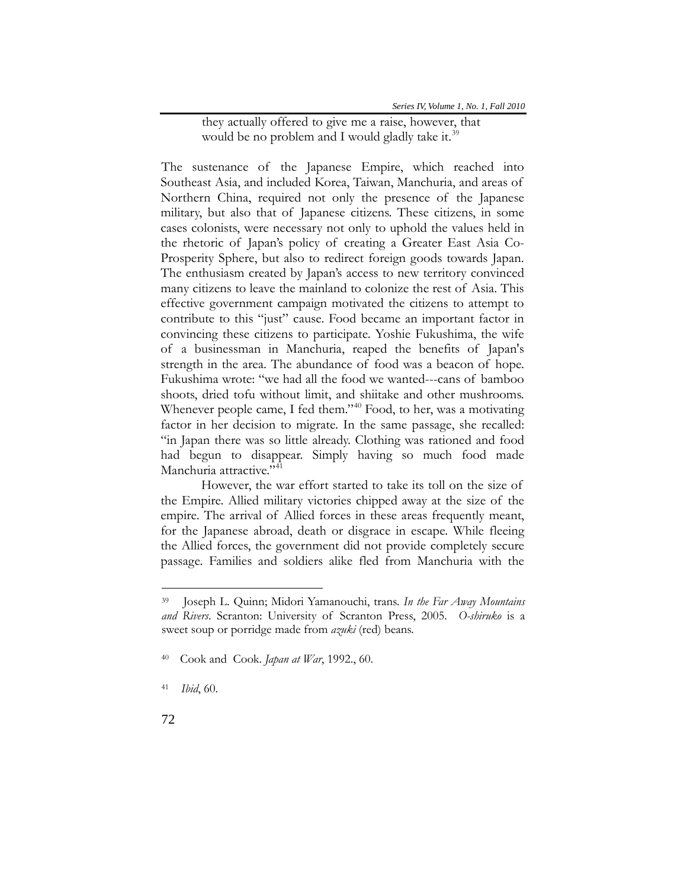they actually offered to give me a raise, however, that would be no problem and I would gladly take it.<sup>[39](#page-15-0)</sup>

The sustenance of the Japanese Empire, which reached into Southeast Asia, and included Korea, Taiwan, Manchuria, and areas of Northern China, required not only the presence of the Japanese military, but also that of Japanese citizens. These citizens, in some cases colonists, were necessary not only to uphold the values held in the rhetoric of Japan's policy of creating a Greater East Asia Co-Prosperity Sphere, but also to redirect foreign goods towards Japan. The enthusiasm created by Japan's access to new territory convinced many citizens to leave the mainland to colonize the rest of Asia. This effective government campaign motivated the citizens to attempt to contribute to this "just" cause. Food became an important factor in convincing these citizens to participate. Yoshie Fukushima, the wife of a businessman in Manchuria, reaped the benefits of Japan's strength in the area. The abundance of food was a beacon of hope. Fukushima wrote: "we had all the food we wanted---cans of bamboo shoots, dried tofu without limit, and shiitake and other mushrooms. Whenever people came, I fed them."<sup>[40](#page-15-1)</sup> Food, to her, was a motivating factor in her decision to migrate. In the same passage, she recalled: "in Japan there was so little already. Clothing was rationed and food had begun to disappear. Simply having so much food made Manchuria attractive."<sup>[41](#page-15-2)</sup>

However, the war effort started to take its toll on the size of the Empire. Allied military victories chipped away at the size of the empire. The arrival of Allied forces in these areas frequently meant, for the Japanese abroad, death or disgrace in escape. While fleeing the Allied forces, the government did not provide completely secure passage. Families and soldiers alike fled from Manchuria with the

<span id="page-15-0"></span><sup>39</sup> Joseph L. Quinn; Midori Yamanouchi, trans. *In the Far Away Mountains and Rivers*. Scranton: University of Scranton Press, 2005. *O-shiruko* is a sweet soup or porridge made from *azuki* (red) beans.

<span id="page-15-1"></span><sup>40</sup> Cook and Cook. *Japan at War*, 1992., 60.

<span id="page-15-2"></span><sup>41</sup> *Ibid*, 60.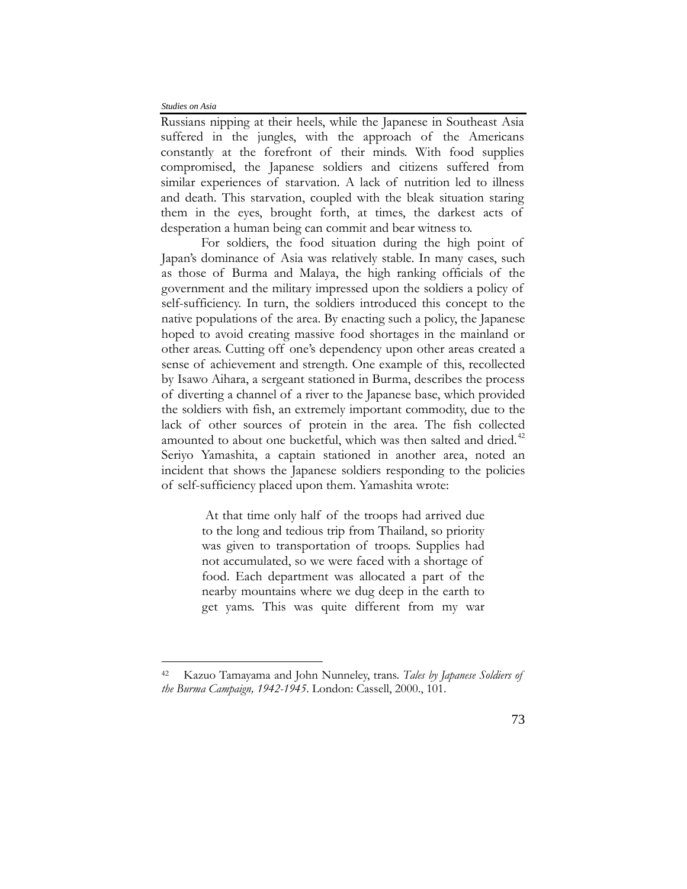$\overline{a}$ 

Russians nipping at their heels, while the Japanese in Southeast Asia suffered in the jungles, with the approach of the Americans constantly at the forefront of their minds. With food supplies compromised, the Japanese soldiers and citizens suffered from similar experiences of starvation. A lack of nutrition led to illness and death. This starvation, coupled with the bleak situation staring them in the eyes, brought forth, at times, the darkest acts of desperation a human being can commit and bear witness to.

For soldiers, the food situation during the high point of Japan's dominance of Asia was relatively stable. In many cases, such as those of Burma and Malaya, the high ranking officials of the government and the military impressed upon the soldiers a policy of self-sufficiency. In turn, the soldiers introduced this concept to the native populations of the area. By enacting such a policy, the Japanese hoped to avoid creating massive food shortages in the mainland or other areas. Cutting off one's dependency upon other areas created a sense of achievement and strength. One example of this, recollected by Isawo Aihara, a sergeant stationed in Burma, describes the process of diverting a channel of a river to the Japanese base, which provided the soldiers with fish, an extremely important commodity, due to the lack of other sources of protein in the area. The fish collected amounted to about one bucketful, which was then salted and dried.<sup>[42](#page-16-0)</sup> Seriyo Yamashita, a captain stationed in another area, noted an incident that shows the Japanese soldiers responding to the policies of self-sufficiency placed upon them. Yamashita wrote:

> At that time only half of the troops had arrived due to the long and tedious trip from Thailand, so priority was given to transportation of troops. Supplies had not accumulated, so we were faced with a shortage of food. Each department was allocated a part of the nearby mountains where we dug deep in the earth to get yams. This was quite different from my war

<span id="page-16-0"></span><sup>42</sup> Kazuo Tamayama and John Nunneley, trans. *Tales by Japanese Soldiers of the Burma Campaign, 1942-1945*. London: Cassell, 2000., 101.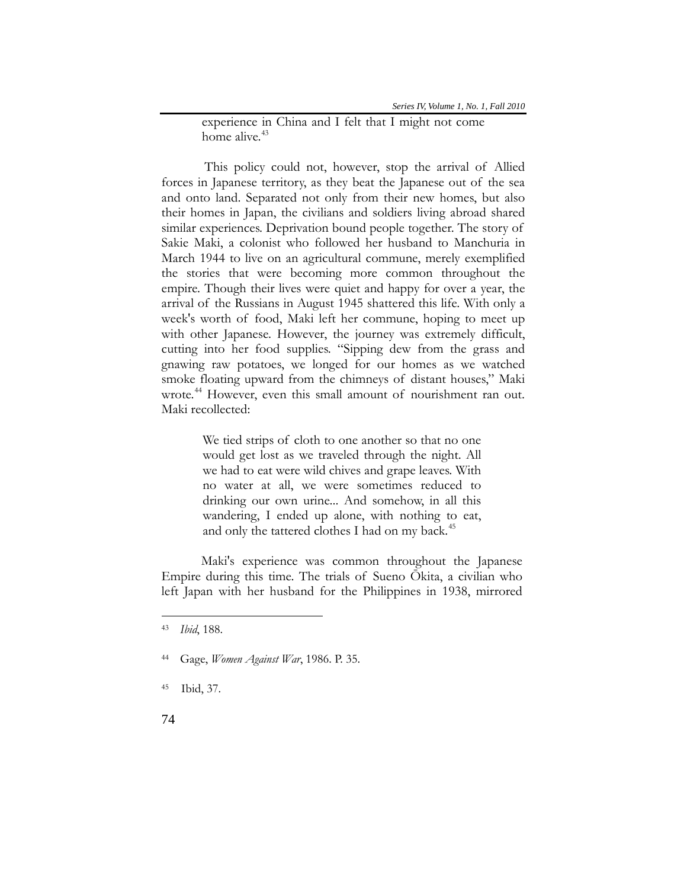experience in China and I felt that I might not come home alive.<sup>[43](#page-17-0)</sup>

This policy could not, however, stop the arrival of Allied forces in Japanese territory, as they beat the Japanese out of the sea and onto land. Separated not only from their new homes, but also their homes in Japan, the civilians and soldiers living abroad shared similar experiences. Deprivation bound people together. The story of Sakie Maki, a colonist who followed her husband to Manchuria in March 1944 to live on an agricultural commune, merely exemplified the stories that were becoming more common throughout the empire. Though their lives were quiet and happy for over a year, the arrival of the Russians in August 1945 shattered this life. With only a week's worth of food, Maki left her commune, hoping to meet up with other Japanese. However, the journey was extremely difficult, cutting into her food supplies. "Sipping dew from the grass and gnawing raw potatoes, we longed for our homes as we watched smoke floating upward from the chimneys of distant houses," Maki wrote.<sup>[44](#page-17-1)</sup> However, even this small amount of nourishment ran out. Maki recollected:

> We tied strips of cloth to one another so that no one would get lost as we traveled through the night. All we had to eat were wild chives and grape leaves. With no water at all, we were sometimes reduced to drinking our own urine... And somehow, in all this wandering, I ended up alone, with nothing to eat, and only the tattered clothes I had on my back.<sup>[45](#page-17-2)</sup>

Maki's experience was common throughout the Japanese Empire during this time. The trials of Sueno Ōkita, a civilian who left Japan with her husband for the Philippines in 1938, mirrored

<span id="page-17-0"></span><sup>43</sup> *Ibid*, 188.

<span id="page-17-1"></span><sup>44</sup> Gage, *Women Against War*, 1986. P. 35.

<span id="page-17-2"></span><sup>45</sup> Ibid, 37.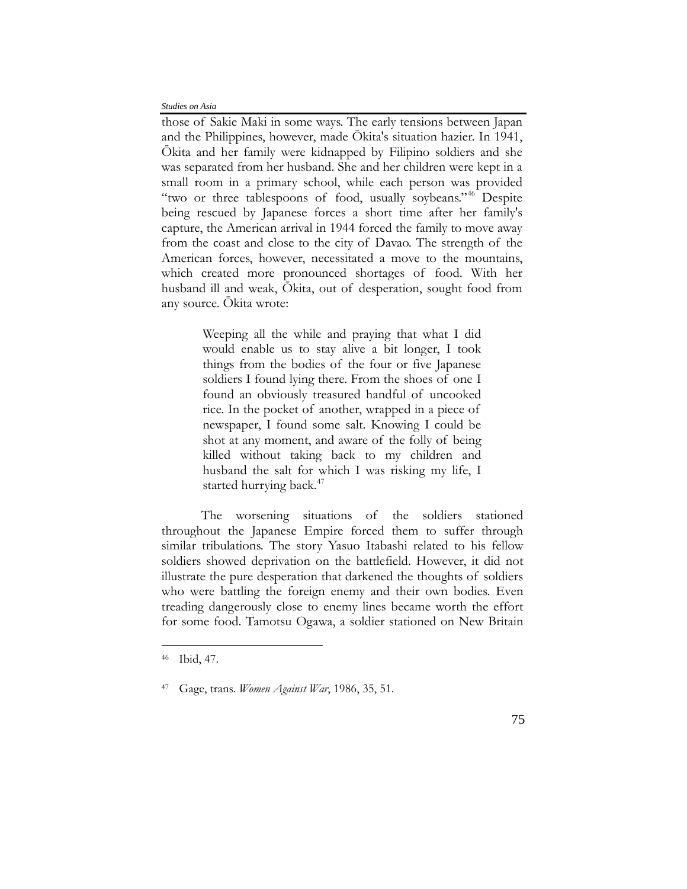those of Sakie Maki in some ways. The early tensions between Japan and the Philippines, however, made Ōkita's situation hazier. In 1941, Ōkita and her family were kidnapped by Filipino soldiers and she was separated from her husband. She and her children were kept in a small room in a primary school, while each person was provided "two or three tablespoons of food, usually soybeans."<sup>[46](#page-18-0)</sup> Despite being rescued by Japanese forces a short time after her family's capture, the American arrival in 1944 forced the family to move away from the coast and close to the city of Davao. The strength of the American forces, however, necessitated a move to the mountains, which created more pronounced shortages of food. With her husband ill and weak, Ōkita, out of desperation, sought food from any source. Ōkita wrote:

> Weeping all the while and praying that what I did would enable us to stay alive a bit longer, I took things from the bodies of the four or five Japanese soldiers I found lying there. From the shoes of one I found an obviously treasured handful of uncooked rice. In the pocket of another, wrapped in a piece of newspaper, I found some salt. Knowing I could be shot at any moment, and aware of the folly of being killed without taking back to my children and husband the salt for which I was risking my life, I started hurrying back.<sup>[47](#page-18-1)</sup>

The worsening situations of the soldiers stationed throughout the Japanese Empire forced them to suffer through similar tribulations. The story Yasuo Itabashi related to his fellow soldiers showed deprivation on the battlefield. However, it did not illustrate the pure desperation that darkened the thoughts of soldiers who were battling the foreign enemy and their own bodies. Even treading dangerously close to enemy lines became worth the effort for some food. Tamotsu Ogawa, a soldier stationed on New Britain

<span id="page-18-0"></span><sup>46</sup>Ibid, 47.

<span id="page-18-1"></span><sup>47</sup> Gage, trans. *Women Against War*, 1986, 35, 51.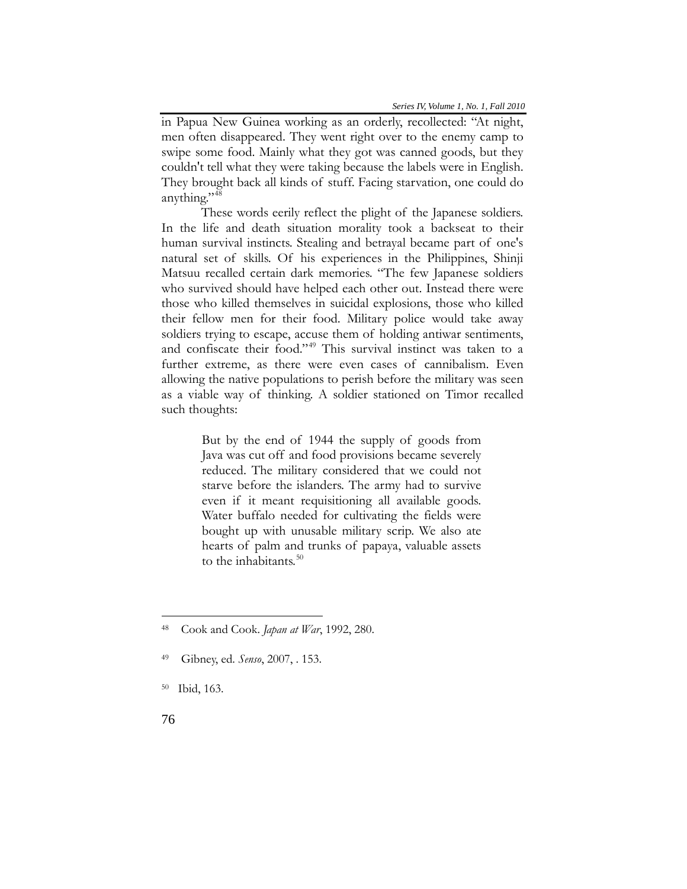in Papua New Guinea working as an orderly, recollected: "At night, men often disappeared. They went right over to the enemy camp to swipe some food. Mainly what they got was canned goods, but they couldn't tell what they were taking because the labels were in English. They brought back all kinds of stuff. Facing starvation, one could do anything."<sup>[48](#page-19-0)</sup>

These words eerily reflect the plight of the Japanese soldiers. In the life and death situation morality took a backseat to their human survival instincts. Stealing and betrayal became part of one's natural set of skills. Of his experiences in the Philippines, Shinji Matsuu recalled certain dark memories. "The few Japanese soldiers who survived should have helped each other out. Instead there were those who killed themselves in suicidal explosions, those who killed their fellow men for their food. Military police would take away soldiers trying to escape, accuse them of holding antiwar sentiments, and confiscate their food."[49](#page-19-1) This survival instinct was taken to a further extreme, as there were even cases of cannibalism. Even allowing the native populations to perish before the military was seen as a viable way of thinking. A soldier stationed on Timor recalled such thoughts:

> But by the end of 1944 the supply of goods from Java was cut off and food provisions became severely reduced. The military considered that we could not starve before the islanders. The army had to survive even if it meant requisitioning all available goods. Water buffalo needed for cultivating the fields were bought up with unusable military scrip. We also ate hearts of palm and trunks of papaya, valuable assets to the inhabitants.<sup>[50](#page-19-2)</sup>

<span id="page-19-0"></span><sup>48</sup> Cook and Cook. *Japan at War*, 1992, 280.

<span id="page-19-1"></span><sup>49</sup> Gibney, ed. *Senso*, 2007, . 153.

<span id="page-19-2"></span><sup>50</sup>Ibid, 163.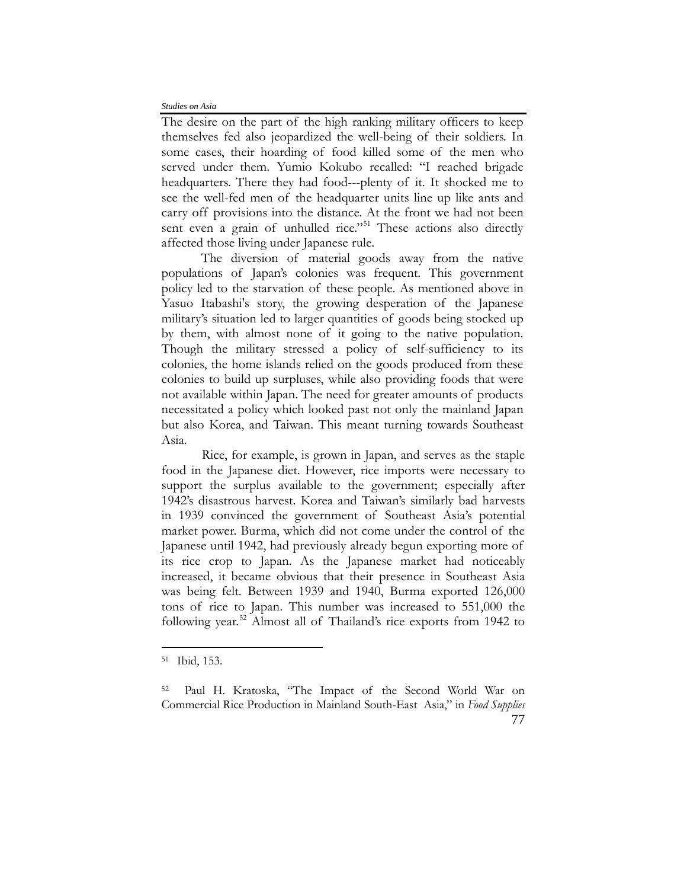The desire on the part of the high ranking military officers to keep themselves fed also jeopardized the well-being of their soldiers. In some cases, their hoarding of food killed some of the men who served under them. Yumio Kokubo recalled: "I reached brigade headquarters. There they had food---plenty of it. It shocked me to see the well-fed men of the headquarter units line up like ants and carry off provisions into the distance. At the front we had not been sent even a grain of unhulled rice."<sup>[51](#page-20-0)</sup> These actions also directly affected those living under Japanese rule.

The diversion of material goods away from the native populations of Japan's colonies was frequent. This government policy led to the starvation of these people. As mentioned above in Yasuo Itabashi's story, the growing desperation of the Japanese military's situation led to larger quantities of goods being stocked up by them, with almost none of it going to the native population. Though the military stressed a policy of self-sufficiency to its colonies, the home islands relied on the goods produced from these colonies to build up surpluses, while also providing foods that were not available within Japan. The need for greater amounts of products necessitated a policy which looked past not only the mainland Japan but also Korea, and Taiwan. This meant turning towards Southeast Asia.

Rice, for example, is grown in Japan, and serves as the staple food in the Japanese diet. However, rice imports were necessary to support the surplus available to the government; especially after 1942's disastrous harvest. Korea and Taiwan's similarly bad harvests in 1939 convinced the government of Southeast Asia's potential market power. Burma, which did not come under the control of the Japanese until 1942, had previously already begun exporting more of its rice crop to Japan. As the Japanese market had noticeably increased, it became obvious that their presence in Southeast Asia was being felt. Between 1939 and 1940, Burma exported 126,000 tons of rice to Japan. This number was increased to 551,000 the following year.<sup>[52](#page-20-1)</sup> Almost all of Thailand's rice exports from 1942 to

<span id="page-20-0"></span><sup>51</sup>Ibid, 153.

<span id="page-20-1"></span><sup>52</sup> Paul H. Kratoska, "The Impact of the Second World War on Commercial Rice Production in Mainland South-East Asia," in *Food Supplies*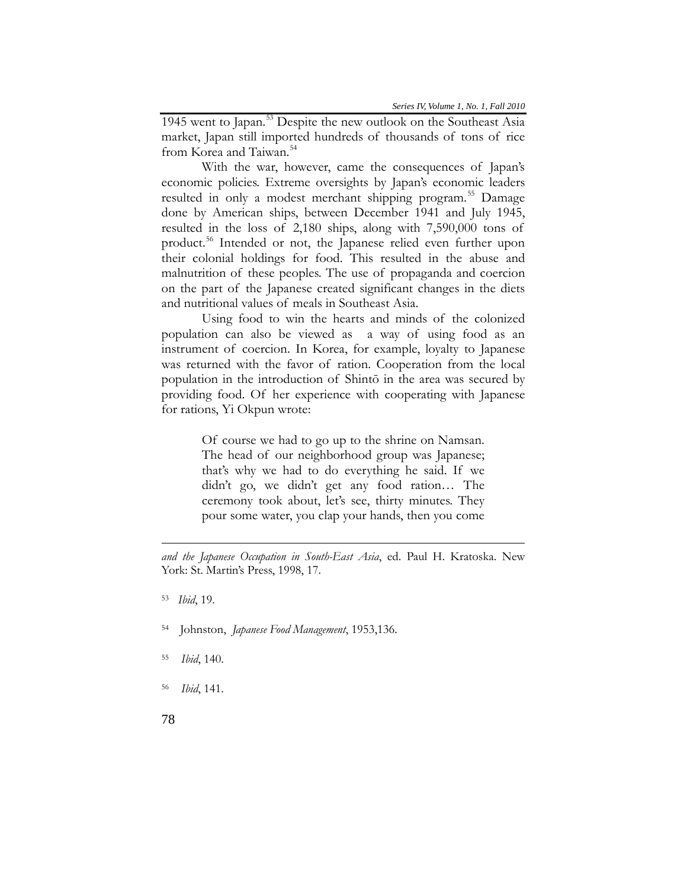1945 went to Japan.<sup>[53](#page-21-0)</sup> Despite the new outlook on the Southeast Asia market, Japan still imported hundreds of thousands of tons of rice from Korea and Taiwan.<sup>[54](#page-21-1)</sup>

With the war, however, came the consequences of Japan's economic policies. Extreme oversights by Japan's economic leaders resulted in only a modest merchant shipping program.<sup>[55](#page-21-2)</sup> Damage done by American ships, between December 1941 and July 1945, resulted in the loss of 2,180 ships, along with 7,590,000 tons of product.<sup>[56](#page-21-3)</sup> Intended or not, the Japanese relied even further upon their colonial holdings for food. This resulted in the abuse and malnutrition of these peoples. The use of propaganda and coercion on the part of the Japanese created significant changes in the diets and nutritional values of meals in Southeast Asia.

Using food to win the hearts and minds of the colonized population can also be viewed as a way of using food as an instrument of coercion. In Korea, for example, loyalty to Japanese was returned with the favor of ration. Cooperation from the local population in the introduction of Shintō in the area was secured by providing food. Of her experience with cooperating with Japanese for rations, Yi Okpun wrote:

> Of course we had to go up to the shrine on Namsan. The head of our neighborhood group was Japanese; that's why we had to do everything he said. If we didn't go, we didn't get any food ration… The ceremony took about, let's see, thirty minutes. They pour some water, you clap your hands, then you come

- <span id="page-21-1"></span>54 Johnston, *Japanese Food Management*, 1953,136.
- <span id="page-21-2"></span><sup>55</sup> *Ibid*, 140.
- <span id="page-21-3"></span>56 *Ibid*, 141.

*and the Japanese Occupation in South-East Asia*, ed. Paul H. Kratoska. New York: St. Martin's Press, 1998, 17.

<span id="page-21-0"></span><sup>53</sup> *Ibid*, 19.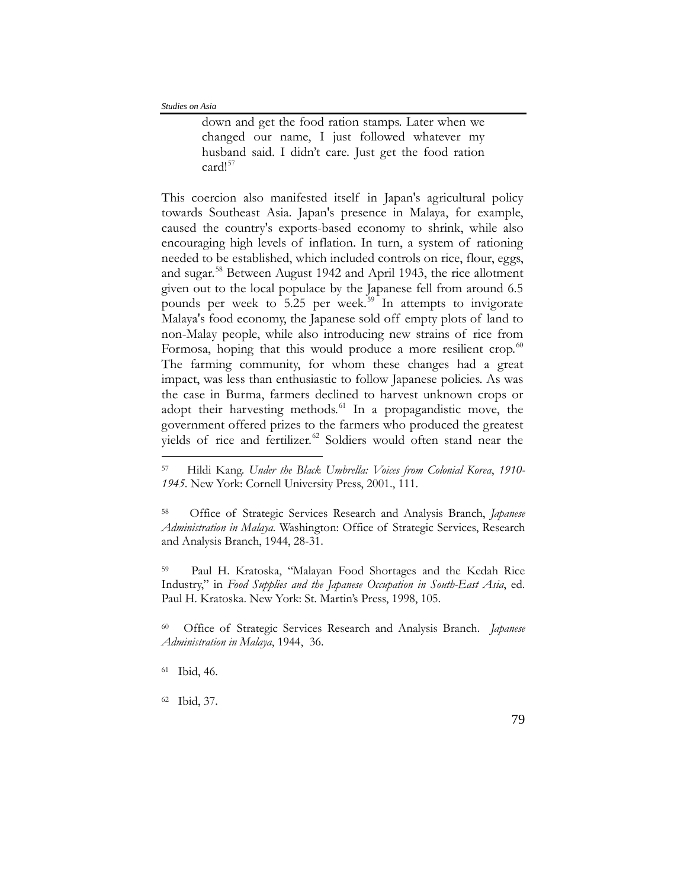down and get the food ration stamps. Later when we changed our name, I just followed whatever my husband said. I didn't care. Just get the food ration card!<sup>[57](#page-22-0)</sup>

This coercion also manifested itself in Japan's agricultural policy towards Southeast Asia. Japan's presence in Malaya, for example, caused the country's exports-based economy to shrink, while also encouraging high levels of inflation. In turn, a system of rationing needed to be established, which included controls on rice, flour, eggs, and sugar.<sup>[58](#page-22-1)</sup> Between August 1942 and April 1943, the rice allotment given out to the local populace by the Japanese fell from around 6.5 pounds per week to  $5.25$  per week.<sup>[59](#page-22-2)</sup> In attempts to invigorate Malaya's food economy, the Japanese sold off empty plots of land to non-Malay people, while also introducing new strains of rice from Formosa, hoping that this would produce a more resilient crop. $60$ The farming community, for whom these changes had a great impact, was less than enthusiastic to follow Japanese policies. As was the case in Burma, farmers declined to harvest unknown crops or adopt their harvesting methods.<sup>[61](#page-22-4)</sup> In a propagandistic move, the government offered prizes to the farmers who produced the greatest yields of rice and fertilizer.<sup>[62](#page-22-5)</sup> Soldiers would often stand near the

<span id="page-22-2"></span>Paul H. Kratoska, "Malayan Food Shortages and the Kedah Rice Industry," in *Food Supplies and the Japanese Occupation in South-East Asia*, ed. Paul H. Kratoska. New York: St. Martin's Press, 1998, 105.

<span id="page-22-3"></span><sup>60</sup> Office of Strategic Services Research and Analysis Branch. *Japanese Administration in Malaya*, 1944, 36.

 $\overline{a}$ 

<span id="page-22-5"></span><sup>62</sup>Ibid, 37.

<span id="page-22-0"></span><sup>57</sup> Hildi Kang. *Under the Black Umbrella: Voices from Colonial Korea*, *1910- 1945*. New York: Cornell University Press, 2001., 111.

<span id="page-22-1"></span><sup>58</sup> Office of Strategic Services Research and Analysis Branch, *Japanese Administration in Malaya.* Washington: Office of Strategic Services, Research and Analysis Branch, 1944, 28-31.

<span id="page-22-4"></span><sup>61</sup> Ibid, 46.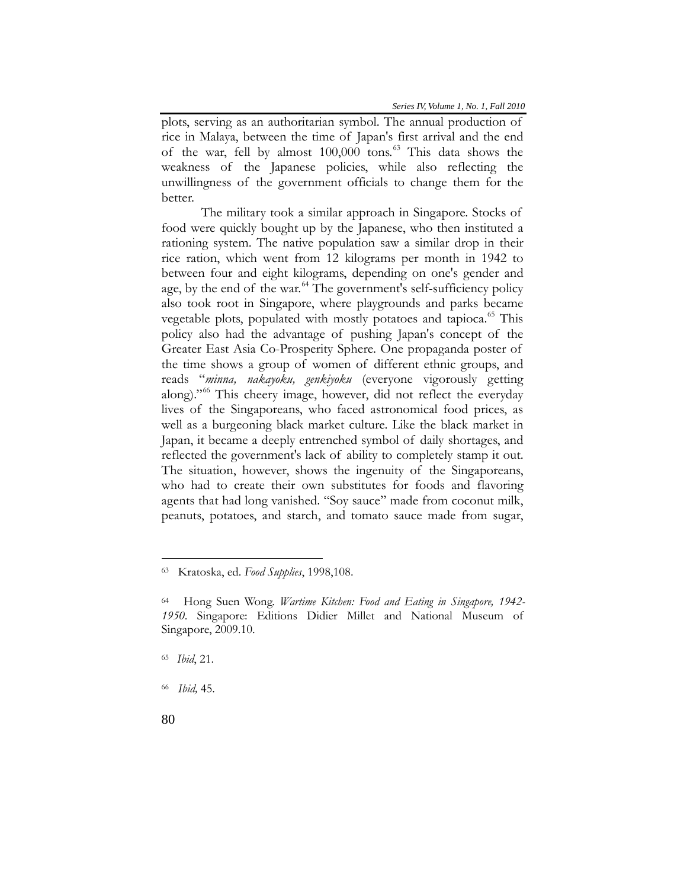plots, serving as an authoritarian symbol. The annual production of rice in Malaya, between the time of Japan's first arrival and the end of the war, fell by almost 100,000 tons.<sup>[63](#page-23-0)</sup> This data shows the weakness of the Japanese policies, while also reflecting the unwillingness of the government officials to change them for the better.

The military took a similar approach in Singapore. Stocks of food were quickly bought up by the Japanese, who then instituted a rationing system. The native population saw a similar drop in their rice ration, which went from 12 kilograms per month in 1942 to between four and eight kilograms, depending on one's gender and age, by the end of the war.<sup>[64](#page-23-1)</sup> The government's self-sufficiency policy also took root in Singapore, where playgrounds and parks became vegetable plots, populated with mostly potatoes and tapioca.<sup>[65](#page-23-2)</sup> This policy also had the advantage of pushing Japan's concept of the Greater East Asia Co-Prosperity Sphere. One propaganda poster of the time shows a group of women of different ethnic groups, and reads "*minna, nakayoku, genkiyoku* (everyone vigorously getting along)."[66](#page-23-3) This cheery image, however, did not reflect the everyday lives of the Singaporeans, who faced astronomical food prices, as well as a burgeoning black market culture. Like the black market in Japan, it became a deeply entrenched symbol of daily shortages, and reflected the government's lack of ability to completely stamp it out. The situation, however, shows the ingenuity of the Singaporeans, who had to create their own substitutes for foods and flavoring agents that had long vanished. "Soy sauce" made from coconut milk, peanuts, potatoes, and starch, and tomato sauce made from sugar,

<span id="page-23-0"></span><sup>63</sup> Kratoska, ed. *Food Supplies*, 1998,108.

<span id="page-23-1"></span><sup>64</sup> Hong Suen Wong. *Wartime Kitchen: Food and Eating in Singapore, 1942- 1950*. Singapore: Editions Didier Millet and National Museum of Singapore, 2009.10.

<span id="page-23-2"></span><sup>65</sup> *Ibid*, 21.

<span id="page-23-3"></span><sup>66</sup> *Ibid,* 45.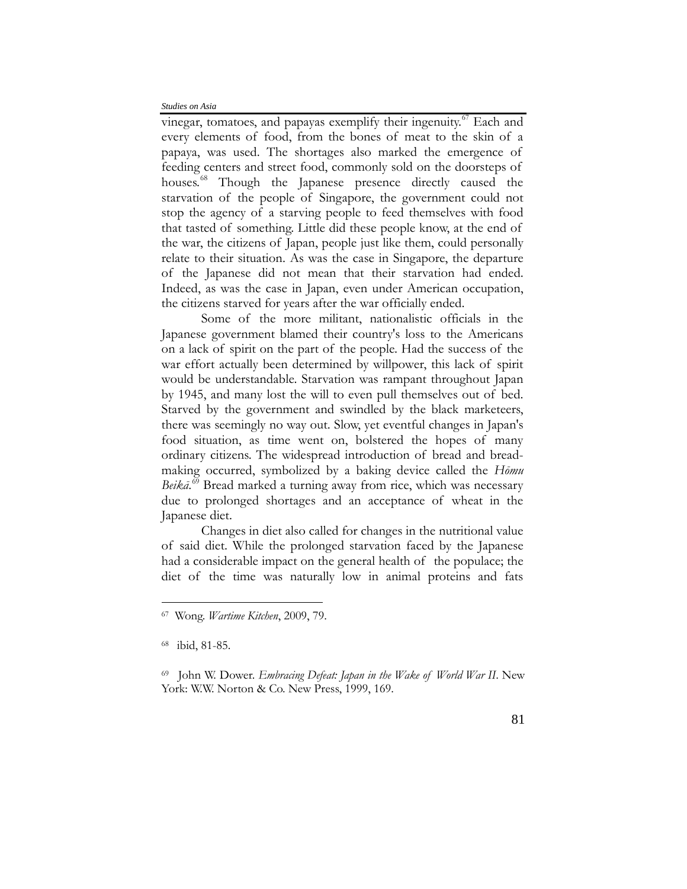vinegar, tomatoes, and papayas exemplify their ingenuity.<sup>[67](#page-24-0)</sup> Each and every elements of food, from the bones of meat to the skin of a papaya, was used. The shortages also marked the emergence of feeding centers and street food, commonly sold on the doorsteps of houses.<sup>[68](#page-24-1)</sup> Though the Japanese presence directly caused the starvation of the people of Singapore, the government could not stop the agency of a starving people to feed themselves with food that tasted of something. Little did these people know, at the end of the war, the citizens of Japan, people just like them, could personally relate to their situation. As was the case in Singapore, the departure of the Japanese did not mean that their starvation had ended. Indeed, as was the case in Japan, even under American occupation, the citizens starved for years after the war officially ended.

Some of the more militant, nationalistic officials in the Japanese government blamed their country's loss to the Americans on a lack of spirit on the part of the people. Had the success of the war effort actually been determined by willpower, this lack of spirit would be understandable. Starvation was rampant throughout Japan by 1945, and many lost the will to even pull themselves out of bed. Starved by the government and swindled by the black marketeers, there was seemingly no way out. Slow, yet eventful changes in Japan's food situation, as time went on, bolstered the hopes of many ordinary citizens. The widespread introduction of bread and breadmaking occurred, symbolized by a baking device called the *Hōmu*  Beikā.<sup>[69](#page-24-2)</sup> Bread marked a turning away from rice, which was necessary due to prolonged shortages and an acceptance of wheat in the Japanese diet.

Changes in diet also called for changes in the nutritional value of said diet. While the prolonged starvation faced by the Japanese had a considerable impact on the general health of the populace; the diet of the time was naturally low in animal proteins and fats

<span id="page-24-0"></span><sup>67</sup>Wong. *Wartime Kitchen*, 2009, 79.

<span id="page-24-1"></span><sup>68</sup>ibid, 81-85.

<span id="page-24-2"></span><sup>69</sup> John W. Dower. *Embracing Defeat: Japan in the Wake of World War II*. New York: W.W. Norton & Co. New Press, 1999, 169.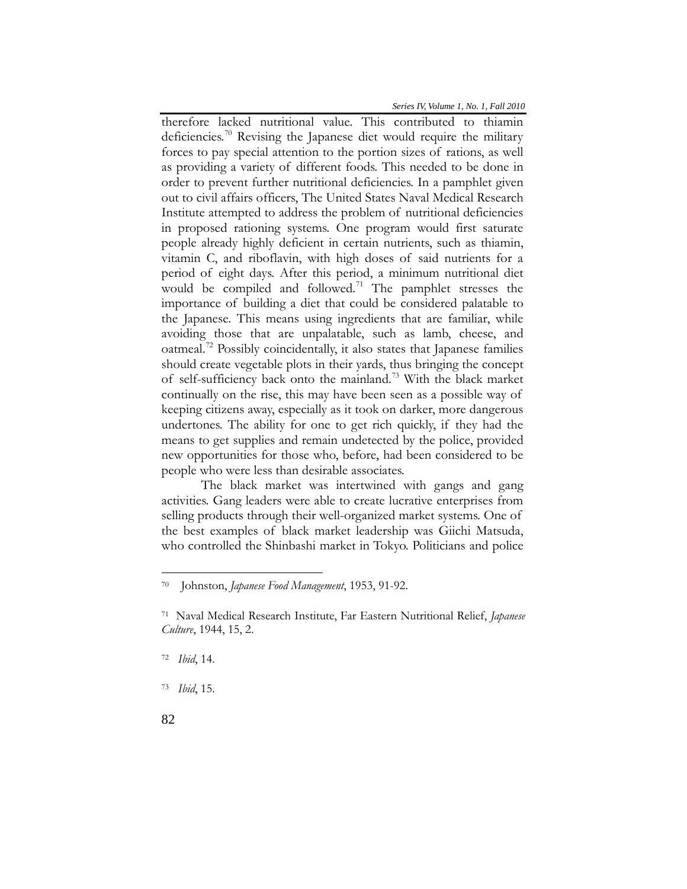therefore lacked nutritional value. This contributed to thiamin deficiencies.<sup>[70](#page-25-0)</sup> Revising the Japanese diet would require the military forces to pay special attention to the portion sizes of rations, as well as providing a variety of different foods. This needed to be done in order to prevent further nutritional deficiencies. In a pamphlet given out to civil affairs officers, The United States Naval Medical Research Institute attempted to address the problem of nutritional deficiencies in proposed rationing systems. One program would first saturate people already highly deficient in certain nutrients, such as thiamin, vitamin C, and riboflavin, with high doses of said nutrients for a period of eight days. After this period, a minimum nutritional diet would be compiled and followed.<sup>71</sup> The pamphlet stresses the importance of building a diet that could be considered palatable to the Japanese. This means using ingredients that are familiar, while avoiding those that are unpalatable, such as lamb, cheese, and oatmeal[.72](#page-25-2) Possibly coincidentally, it also states that Japanese families should create vegetable plots in their yards, thus bringing the concept of self-sufficiency back onto the mainland.<sup>73</sup> With the black market continually on the rise, this may have been seen as a possible way of keeping citizens away, especially as it took on darker, more dangerous undertones. The ability for one to get rich quickly, if they had the means to get supplies and remain undetected by the police, provided new opportunities for those who, before, had been considered to be people who were less than desirable associates.

The black market was intertwined with gangs and gang activities. Gang leaders were able to create lucrative enterprises from selling products through their well-organized market systems. One of the best examples of black market leadership was Giichi Matsuda, who controlled the Shinbashi market in Tokyo. Politicians and police

<span id="page-25-2"></span><sup>72</sup> *Ibid*, 14.

<span id="page-25-3"></span>73 *Ibid*, 15.

<span id="page-25-0"></span><sup>70</sup> Johnston, *Japanese Food Management*, 1953, 91-92.

<span id="page-25-1"></span><sup>71</sup> Naval Medical Research Institute, Far Eastern Nutritional Relief, *Japanese Culture*, 1944, 15, 2.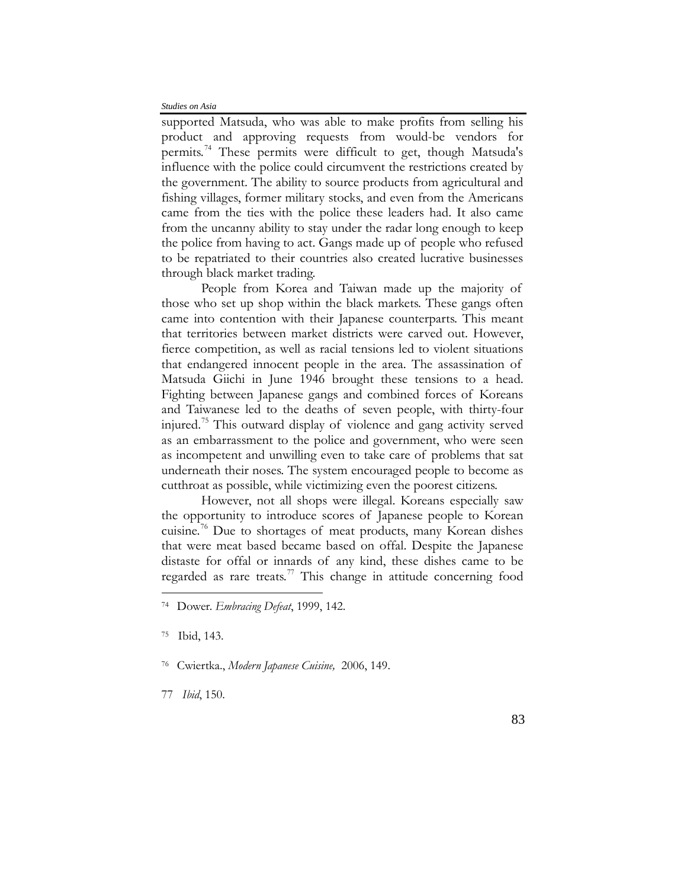supported Matsuda, who was able to make profits from selling his product and approving requests from would-be vendors for permits.<sup>[74](#page-26-0)</sup> These permits were difficult to get, though Matsuda's influence with the police could circumvent the restrictions created by the government. The ability to source products from agricultural and fishing villages, former military stocks, and even from the Americans came from the ties with the police these leaders had. It also came from the uncanny ability to stay under the radar long enough to keep the police from having to act. Gangs made up of people who refused to be repatriated to their countries also created lucrative businesses through black market trading.

People from Korea and Taiwan made up the majority of those who set up shop within the black markets. These gangs often came into contention with their Japanese counterparts. This meant that territories between market districts were carved out. However, fierce competition, as well as racial tensions led to violent situations that endangered innocent people in the area. The assassination of Matsuda Giichi in June 1946 brought these tensions to a head. Fighting between Japanese gangs and combined forces of Koreans and Taiwanese led to the deaths of seven people, with thirty-four injured. [75](#page-26-1) This outward display of violence and gang activity served as an embarrassment to the police and government, who were seen as incompetent and unwilling even to take care of problems that sat underneath their noses. The system encouraged people to become as cutthroat as possible, while victimizing even the poorest citizens.

However, not all shops were illegal. Koreans especially saw the opportunity to introduce scores of Japanese people to Korean cuisine.<sup>[76](#page-26-2)</sup> Due to shortages of meat products, many Korean dishes that were meat based became based on offal. Despite the Japanese distaste for offal or innards of any kind, these dishes came to be regarded as rare treats. $77$  This change in attitude concerning food

 $\overline{a}$ 

<span id="page-26-3"></span>77 *Ibid*, 150.

<span id="page-26-0"></span><sup>74</sup> Dower. *Embracing Defeat*, 1999, 142.

<span id="page-26-1"></span><sup>75</sup>Ibid, 143.

<span id="page-26-2"></span><sup>76</sup> Cwiertka., *Modern Japanese Cuisine,* 2006, 149.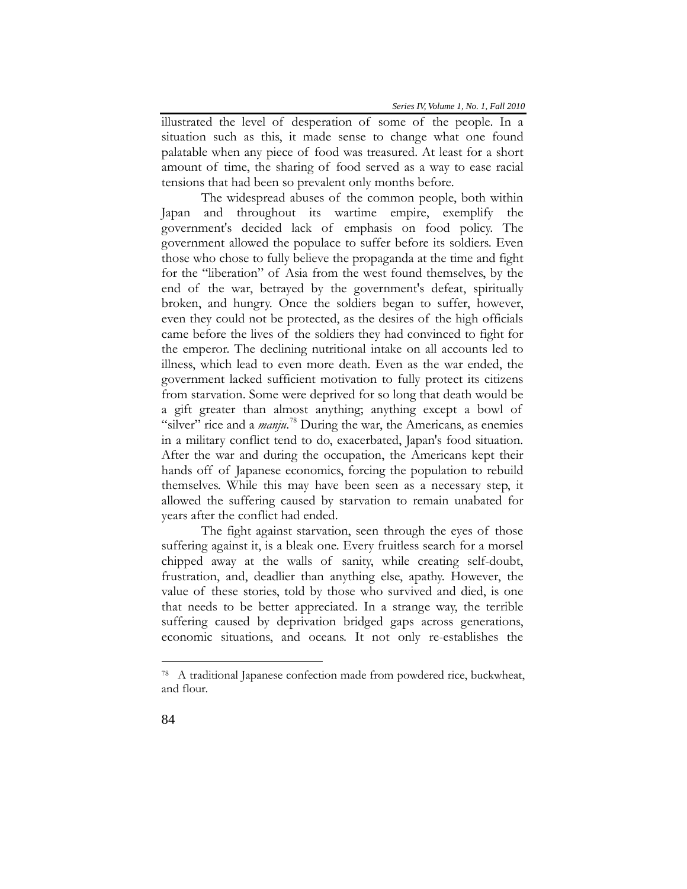illustrated the level of desperation of some of the people. In a situation such as this, it made sense to change what one found palatable when any piece of food was treasured. At least for a short amount of time, the sharing of food served as a way to ease racial tensions that had been so prevalent only months before.

The widespread abuses of the common people, both within Japan and throughout its wartime empire, exemplify the government's decided lack of emphasis on food policy. The government allowed the populace to suffer before its soldiers. Even those who chose to fully believe the propaganda at the time and fight for the "liberation" of Asia from the west found themselves, by the end of the war, betrayed by the government's defeat, spiritually broken, and hungry. Once the soldiers began to suffer, however, even they could not be protected, as the desires of the high officials came before the lives of the soldiers they had convinced to fight for the emperor. The declining nutritional intake on all accounts led to illness, which lead to even more death. Even as the war ended, the government lacked sufficient motivation to fully protect its citizens from starvation. Some were deprived for so long that death would be a gift greater than almost anything; anything except a bowl of "silver" rice and a *manju*.<sup>[78](#page-27-0)</sup> During the war, the Americans, as enemies in a military conflict tend to do, exacerbated, Japan's food situation. After the war and during the occupation, the Americans kept their hands off of Japanese economics, forcing the population to rebuild themselves. While this may have been seen as a necessary step, it allowed the suffering caused by starvation to remain unabated for years after the conflict had ended.

The fight against starvation, seen through the eyes of those suffering against it, is a bleak one. Every fruitless search for a morsel chipped away at the walls of sanity, while creating self-doubt, frustration, and, deadlier than anything else, apathy. However, the value of these stories, told by those who survived and died, is one that needs to be better appreciated. In a strange way, the terrible suffering caused by deprivation bridged gaps across generations, economic situations, and oceans. It not only re-establishes the

<span id="page-27-0"></span><sup>78</sup> A traditional Japanese confection made from powdered rice, buckwheat, and flour.